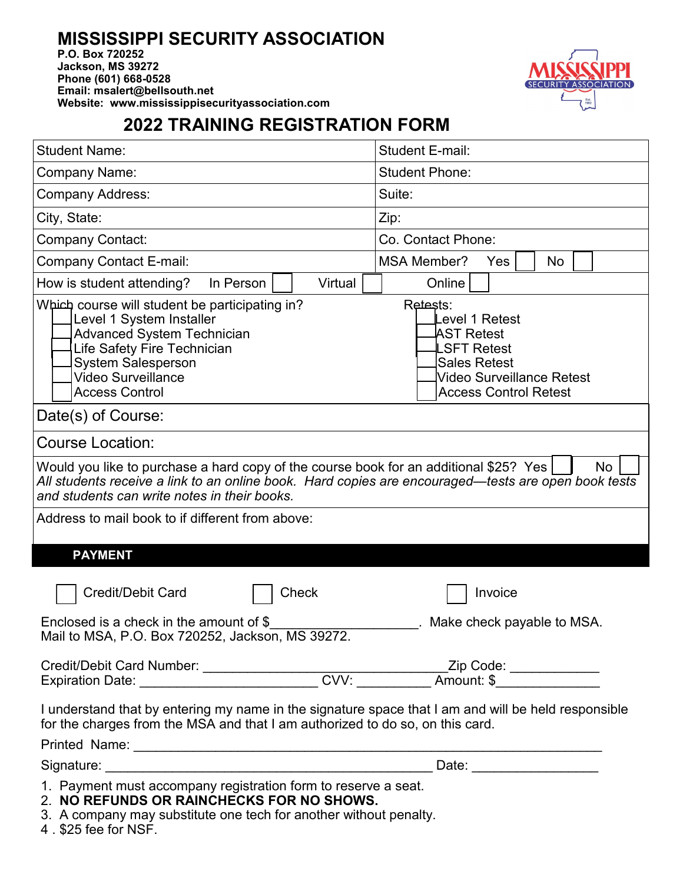## **MISSISSIPPI SECURITY ASSOCIATION**

**P.O. Box 720252 Jackson, MS 39272 Phone (601) 668-0528 Email: msalert@bellsouth.net Website: www.mississippisecurityassociation.com**



## **2022 TRAINING REGISTRATION FORM**

| <b>Student Name:</b>                                                                                                                                                                                                                                      | <b>Student E-mail:</b>                                                                                                                                          |  |  |  |  |
|-----------------------------------------------------------------------------------------------------------------------------------------------------------------------------------------------------------------------------------------------------------|-----------------------------------------------------------------------------------------------------------------------------------------------------------------|--|--|--|--|
| <b>Company Name:</b>                                                                                                                                                                                                                                      | <b>Student Phone:</b>                                                                                                                                           |  |  |  |  |
| <b>Company Address:</b>                                                                                                                                                                                                                                   | Suite:                                                                                                                                                          |  |  |  |  |
| City, State:                                                                                                                                                                                                                                              | Zip:                                                                                                                                                            |  |  |  |  |
| <b>Company Contact:</b>                                                                                                                                                                                                                                   | Co. Contact Phone:                                                                                                                                              |  |  |  |  |
| <b>Company Contact E-mail:</b>                                                                                                                                                                                                                            | <b>MSA Member?</b><br>No<br>Yes                                                                                                                                 |  |  |  |  |
| Virtual<br>How is student attending?<br>In Person                                                                                                                                                                                                         | Online                                                                                                                                                          |  |  |  |  |
| Which course will student be participating in?<br>Level 1 System Installer<br><b>Advanced System Technician</b><br>Life Safety Fire Technician<br><b>System Salesperson</b><br><b>Video Surveillance</b><br><b>Access Control</b>                         | Retests:<br>evel 1 Retest.<br><code>AST Retest</code><br><b>LSFT Retest</b><br><b>Sales Retest</b><br>Video Surveillance Retest<br><b>Access Control Retest</b> |  |  |  |  |
| Date(s) of Course:                                                                                                                                                                                                                                        |                                                                                                                                                                 |  |  |  |  |
| <b>Course Location:</b>                                                                                                                                                                                                                                   |                                                                                                                                                                 |  |  |  |  |
| Would you like to purchase a hard copy of the course book for an additional \$25? Yes<br><b>No</b><br>All students receive a link to an online book. Hard copies are encouraged—tests are open book tests<br>and students can write notes in their books. |                                                                                                                                                                 |  |  |  |  |
| Address to mail book to if different from above:                                                                                                                                                                                                          |                                                                                                                                                                 |  |  |  |  |
| <b>PAYMENT</b>                                                                                                                                                                                                                                            |                                                                                                                                                                 |  |  |  |  |
| <b>Credit/Debit Card</b><br><b>Check</b>                                                                                                                                                                                                                  | Invoice                                                                                                                                                         |  |  |  |  |
| Enclosed is a check in the amount of $$$<br>Mail to MSA, P.O. Box 720252, Jackson, MS 39272                                                                                                                                                               | Make check payable to MSA.                                                                                                                                      |  |  |  |  |
|                                                                                                                                                                                                                                                           |                                                                                                                                                                 |  |  |  |  |
| Credit/Debit Card Number: _____________________CVV: ___________Zip Code: ____________<br>Expiration Date: ________________________CVV: _________Amount: \$________________                                                                                |                                                                                                                                                                 |  |  |  |  |
| I understand that by entering my name in the signature space that I am and will be held responsible<br>for the charges from the MSA and that I am authorized to do so, on this card.                                                                      |                                                                                                                                                                 |  |  |  |  |
|                                                                                                                                                                                                                                                           |                                                                                                                                                                 |  |  |  |  |
|                                                                                                                                                                                                                                                           | Date: _______________________                                                                                                                                   |  |  |  |  |
| 1. Payment must accompany registration form to reserve a seat.<br>2. NO REFUNDS OR RAINCHECKS FOR NO SHOWS.<br>3. A company may substitute one tech for another without penalty.                                                                          |                                                                                                                                                                 |  |  |  |  |

4 . \$25 fee for NSF.